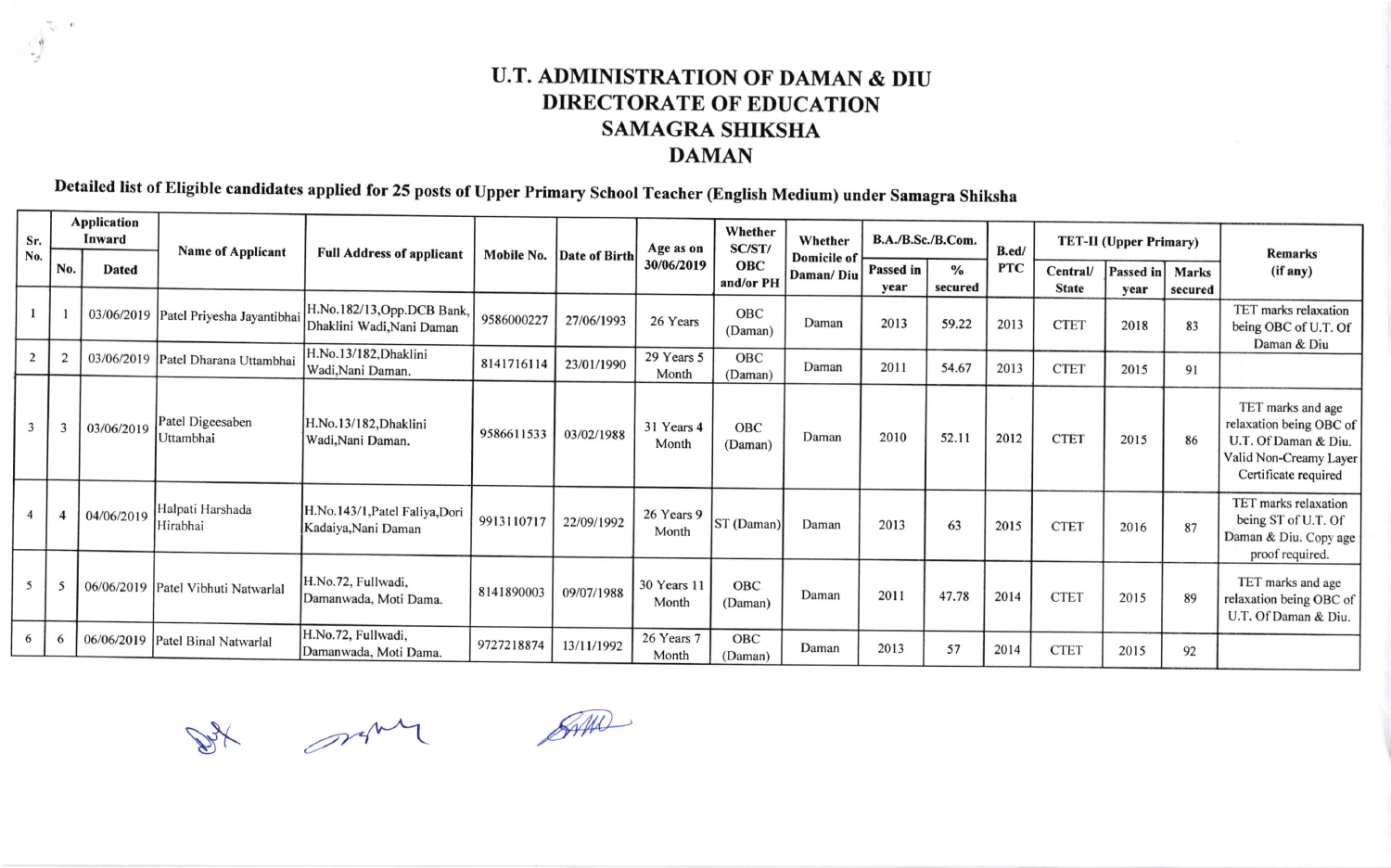## U.T. ADMINISTRATION OF DAMAN & DIU DIRECTORATE OF EDUCATION SAMAGRA SHIKSHA DAMAN

Detailed list of Eligible candidates applied for 25 posts of Upper Primary School Teacher (English Medium) under Samagra Shiksha

| Sr.<br>No. | <b>Application</b>       |              |                                       |                                                         |            |                          |                      |                       |                                 |                   |                 |            |                               |                          |                         |                                                                                                                        |
|------------|--------------------------|--------------|---------------------------------------|---------------------------------------------------------|------------|--------------------------|----------------------|-----------------------|---------------------------------|-------------------|-----------------|------------|-------------------------------|--------------------------|-------------------------|------------------------------------------------------------------------------------------------------------------------|
|            |                          | Inward       | <b>Name of Applicant</b>              | <b>Full Address of applicant</b>                        |            | Mobile No. Date of Birth | Age as on            | Whether<br>SC/ST/     | Whether                         | B.A./B.Sc./B.Com. |                 | B.ed/      | <b>TET-II</b> (Upper Primary) |                          |                         | <b>Remarks</b>                                                                                                         |
|            | N <sub>0</sub>           | <b>Dated</b> |                                       |                                                         |            |                          | 30/06/2019           | OBC<br>and/or PH      | <b>Domicile of</b><br>Daman/Diu | Passed in<br>year | $\%$<br>secured | <b>PTC</b> | Central/<br><b>State</b>      | <b>Passed in</b><br>year | <b>Marks</b><br>secured | (if any)                                                                                                               |
|            |                          |              | 03/06/2019 Patel Priyesha Jayantibhai | H.No.182/13, Opp.DCB Bank,<br>Dhaklini Wadi, Nani Daman | 9586000227 | 27/06/1993               | 26 Years             | <b>OBC</b><br>(Daman) | Daman                           | 2013              | 59.22           | 2013       | <b>CTET</b>                   | 2018                     | 83                      | TET marks relaxation<br>being OBC of U.T. Of<br>Daman & Diu                                                            |
|            |                          |              | 03/06/2019 Patel Dharana Uttambhai    | H.No.13/182, Dhaklini<br>Wadi, Nani Daman.              | 8141716114 | 23/01/1990               | 29 Years 5<br>Month  | OBC<br>(Daman)        | Daman                           | 2011              | 54.67           | 2013       | <b>CTET</b>                   | 2015                     | 91                      |                                                                                                                        |
|            | 3                        | 03/06/2019   | Patel Digeesaben<br>Uttambhai         | H.No.13/182, Dhaklini<br>Wadi, Nani Daman.              | 9586611533 | 03/02/1988               | 31 Years 4<br>Month  | <b>OBC</b><br>(Daman) | Daman                           | 2010              | 52.11           | 2012       | <b>CTET</b>                   | 2015                     | 86                      | TET marks and age<br>relaxation being OBC of<br>U.T. Of Daman & Diu.<br>Valid Non-Creamy Layer<br>Certificate required |
|            |                          | 04/06/2019   | Halpati Harshada<br>Hirabhai          | H.No.143/1, Patel Faliya, Dori<br>Kadaiya, Nani Daman   | 9913110717 | 22/09/1992               | 26 Years 9<br>Month  | ST (Daman)            | Daman                           | 2013              | 63              | 2015       | <b>CTET</b>                   | 2016                     | 87                      | TET marks relaxation<br>being ST of U.T. Of<br>Daman & Diu. Copy age<br>proof required.                                |
| 5          | $\overline{\phantom{0}}$ |              | 06/06/2019 Patel Vibhuti Natwarlal    | H.No.72, Fullwadi,<br>Damanwada, Moti Dama.             | 8141890003 | 09/07/1988               | 30 Years 11<br>Month | OBC<br>(Daman)        | Daman                           | 2011              | 47.78           | 2014       | <b>CTET</b>                   | 2015                     | 89                      | TET marks and age<br>relaxation being OBC of<br>U.T. Of Daman & Diu.                                                   |
| 6          | 6                        |              | 06/06/2019 Patel Binal Natwarlal      | H.No.72, Fullwadi,<br>Damanwada, Moti Dama.             | 9727218874 | 13/11/1992               | 26 Years 7<br>Month  | OBC<br>(Daman)        | Daman                           | 2013              | 57              | 2014       | <b>CTET</b>                   | 2015                     | 92                      |                                                                                                                        |

s.

 $\mathscr{A}^{\mu\nu}$